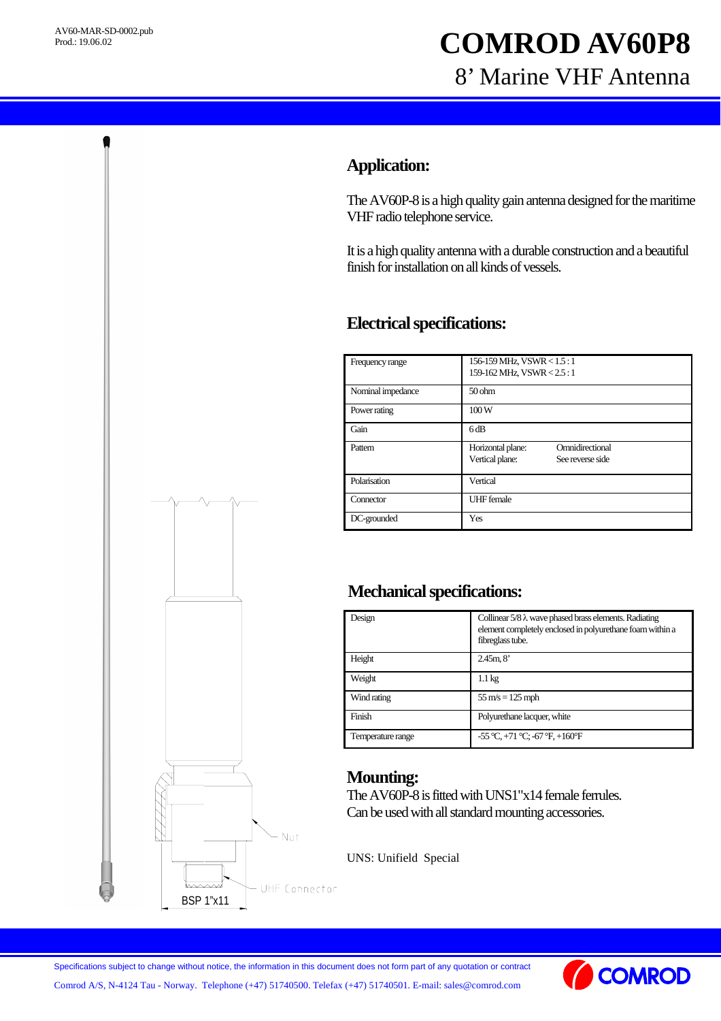# **COMROD AV60P8** 8' Marine VHF Antenna

## **Application:**

The AV60P-8 is a high quality gain antenna designed for the maritime VHF radio telephone service.

It is a high quality antenna with a durable construction and a beautiful finish for installation on all kinds of vessels.

### **Electrical specifications:**

| Frequency range   | 156-159 MHz, VSWR < 1.5 : 1<br>159-162 MHz, VSWR < 2.5:1                    |
|-------------------|-----------------------------------------------------------------------------|
| Nominal impedance | 50 <sub>ohm</sub>                                                           |
| Power rating      | 100W                                                                        |
| Gain              | 6dB                                                                         |
| Pattern           | Omnidirectional<br>Horizontal plane:<br>Vertical plane:<br>See reverse side |
| Polarisation      | Vertical                                                                    |
| Connector         | <b>UHF</b> female                                                           |
| DC-grounded       | Yes                                                                         |

### **Mechanical specifications:**

| Design            | Collinear $5/8 \lambda$ wave phased brass elements. Radiating<br>element completely enclosed in polyurethane foam within a<br>fibreglass tube. |
|-------------------|------------------------------------------------------------------------------------------------------------------------------------------------|
| Height            | 2.45m, 8'                                                                                                                                      |
| Weight            | $1.1 \text{ kg}$                                                                                                                               |
| Wind rating       | $55 \text{ m/s} = 125 \text{ mph}$                                                                                                             |
| Finish            | Polyurethane lacquer, white                                                                                                                    |
| Temperature range | $-55^{\circ}$ C, $+71^{\circ}$ C; $-67^{\circ}$ F, $+160^{\circ}$ F                                                                            |

#### **Mounting:**

The AV60P-8 is fitted with UNS1"x14 female ferrules. Can be used with all standard mounting accessories.

UNS: Unifield Special



Specifications subject to change without notice, the information in this document does not form part of any quotation or contract

Comrod A/S, N-4124 Tau - Norway. Telephone (+47) 51740500. Telefax (+47) 51740501. E-mail: sales@comrod.com